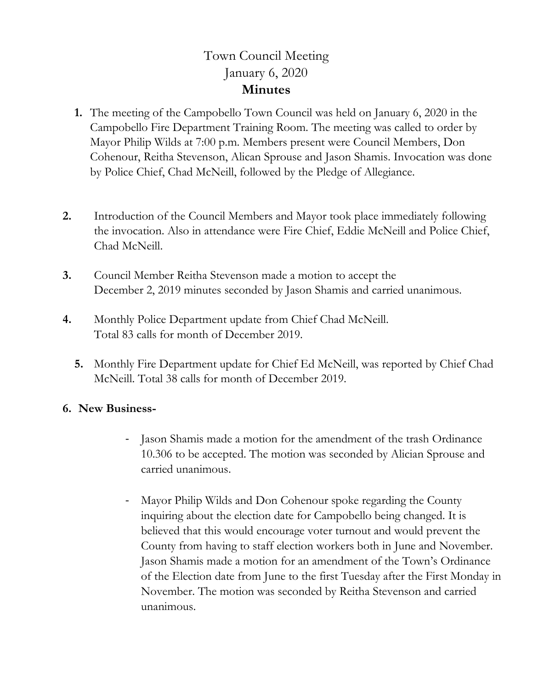## Town Council Meeting January 6, 2020 **Minutes**

- **1.** The meeting of the Campobello Town Council was held on January 6, 2020 in the Campobello Fire Department Training Room. The meeting was called to order by Mayor Philip Wilds at 7:00 p.m. Members present were Council Members, Don Cohenour, Reitha Stevenson, Alican Sprouse and Jason Shamis. Invocation was done by Police Chief, Chad McNeill, followed by the Pledge of Allegiance.
- **2.** Introduction of the Council Members and Mayor took place immediately following the invocation. Also in attendance were Fire Chief, Eddie McNeill and Police Chief, Chad McNeill.
- **3.** Council Member Reitha Stevenson made a motion to accept the December 2, 2019 minutes seconded by Jason Shamis and carried unanimous.
- **4.** Monthly Police Department update from Chief Chad McNeill. Total 83 calls for month of December 2019.
	- **5.** Monthly Fire Department update for Chief Ed McNeill, was reported by Chief Chad McNeill. Total 38 calls for month of December 2019.

## **6. New Business-**

- Jason Shamis made a motion for the amendment of the trash Ordinance 10.306 to be accepted. The motion was seconded by Alician Sprouse and carried unanimous.
- Mayor Philip Wilds and Don Cohenour spoke regarding the County inquiring about the election date for Campobello being changed. It is believed that this would encourage voter turnout and would prevent the County from having to staff election workers both in June and November. Jason Shamis made a motion for an amendment of the Town's Ordinance of the Election date from June to the first Tuesday after the First Monday in November. The motion was seconded by Reitha Stevenson and carried unanimous.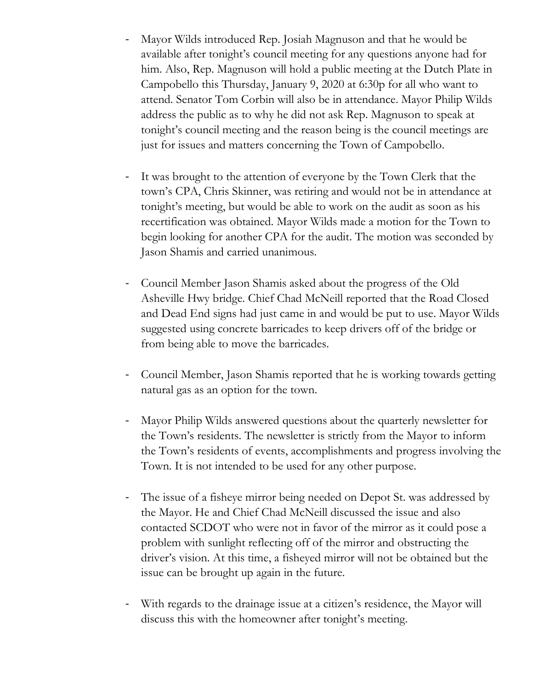- Mayor Wilds introduced Rep. Josiah Magnuson and that he would be available after tonight's council meeting for any questions anyone had for him. Also, Rep. Magnuson will hold a public meeting at the Dutch Plate in Campobello this Thursday, January 9, 2020 at 6:30p for all who want to attend. Senator Tom Corbin will also be in attendance. Mayor Philip Wilds address the public as to why he did not ask Rep. Magnuson to speak at tonight's council meeting and the reason being is the council meetings are just for issues and matters concerning the Town of Campobello.
- It was brought to the attention of everyone by the Town Clerk that the town's CPA, Chris Skinner, was retiring and would not be in attendance at tonight's meeting, but would be able to work on the audit as soon as his recertification was obtained. Mayor Wilds made a motion for the Town to begin looking for another CPA for the audit. The motion was seconded by Jason Shamis and carried unanimous.
- Council Member Jason Shamis asked about the progress of the Old Asheville Hwy bridge. Chief Chad McNeill reported that the Road Closed and Dead End signs had just came in and would be put to use. Mayor Wilds suggested using concrete barricades to keep drivers off of the bridge or from being able to move the barricades.
- Council Member, Jason Shamis reported that he is working towards getting natural gas as an option for the town.
- Mayor Philip Wilds answered questions about the quarterly newsletter for the Town's residents. The newsletter is strictly from the Mayor to inform the Town's residents of events, accomplishments and progress involving the Town. It is not intended to be used for any other purpose.
- The issue of a fisheye mirror being needed on Depot St. was addressed by the Mayor. He and Chief Chad McNeill discussed the issue and also contacted SCDOT who were not in favor of the mirror as it could pose a problem with sunlight reflecting off of the mirror and obstructing the driver's vision. At this time, a fisheyed mirror will not be obtained but the issue can be brought up again in the future.
- With regards to the drainage issue at a citizen's residence, the Mayor will discuss this with the homeowner after tonight's meeting.